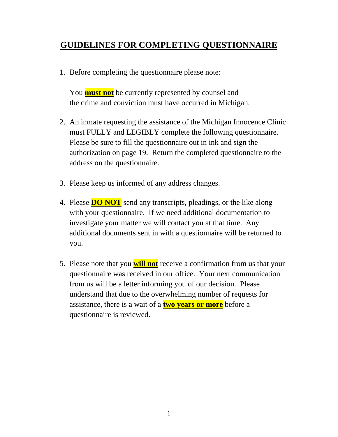# **GUIDELINES FOR COMPLETING QUESTIONNAIRE**

1. Before completing the questionnaire please note:

You **must not** be currently represented by counsel and the crime and conviction must have occurred in Michigan.

- 2. An inmate requesting the assistance of the Michigan Innocence Clinic must FULLY and LEGIBLY complete the following questionnaire. Please be sure to fill the questionnaire out in ink and sign the authorization on page 19. Return the completed questionnaire to the address on the questionnaire.
- 3. Please keep us informed of any address changes.
- 4. Please **DO NOT** send any transcripts, pleadings, or the like along with your questionnaire. If we need additional documentation to investigate your matter we will contact you at that time. Any additional documents sent in with a questionnaire will be returned to you.
- 5. Please note that you **will not** receive a confirmation from us that your questionnaire was received in our office. Your next communication from us will be a letter informing you of our decision. Please understand that due to the overwhelming number of requests for assistance, there is a wait of a **two years or more** before a questionnaire is reviewed.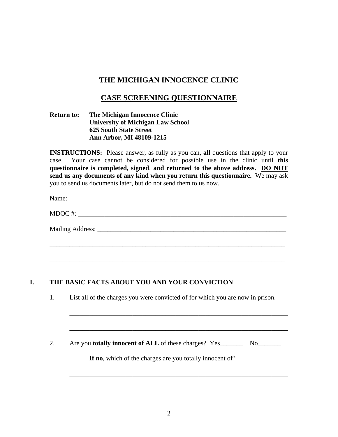# **THE MICHIGAN INNOCENCE CLINIC**

## **CASE SCREENING QUESTIONNAIRE**

#### **Return to: The Michigan Innocence Clinic University of Michigan Law School 625 South State Street Ann Arbor, MI 48109-1215**

**INSTRUCTIONS:** Please answer, as fully as you can, all questions that apply to your case. Your case cannot be considered for possible use in the clinic until **this questionnaire is completed, signed**, **and returned to the above address. DO NOT send us any documents of any kind when you return this questionnaire.** We may ask you to send us documents later, but do not send them to us now.

Name: \_\_\_\_\_\_\_\_\_\_\_\_\_\_\_\_\_\_\_\_\_\_\_\_\_\_\_\_\_\_\_\_\_\_\_\_\_\_\_\_\_\_\_\_\_\_\_\_\_\_\_\_\_\_\_\_\_\_\_\_\_\_\_\_\_

|  | MDOC# |  |  |
|--|-------|--|--|
|--|-------|--|--|

Mailing Address: \_\_\_\_\_\_\_\_\_\_\_\_\_\_\_\_\_\_\_\_\_\_\_\_\_\_\_\_\_\_\_\_\_\_\_\_\_\_\_\_\_\_\_\_\_\_\_\_\_\_\_\_\_\_\_\_\_

\_\_\_\_\_\_\_\_\_\_\_\_\_\_\_\_\_\_\_\_\_\_\_\_\_\_\_\_\_\_\_\_\_\_\_\_\_\_\_\_\_\_\_\_\_\_\_\_\_\_\_\_\_\_\_\_\_\_\_\_\_\_\_\_\_\_\_\_\_\_\_

\_\_\_\_\_\_\_\_\_\_\_\_\_\_\_\_\_\_\_\_\_\_\_\_\_\_\_\_\_\_\_\_\_\_\_\_\_\_\_\_\_\_\_\_\_\_\_\_\_\_\_\_\_\_\_\_\_\_\_\_\_\_\_\_\_\_\_\_\_\_\_

#### **I. THE BASIC FACTS ABOUT YOU AND YOUR CONVICTION**

1. List all of the charges you were convicted of for which you are now in prison.

2. Are you **totally innocent of ALL** of these charges? Yes\_\_\_\_\_\_\_\_\_ No\_\_\_\_\_\_\_\_\_

 $\overline{\phantom{a}}$  ,  $\overline{\phantom{a}}$  ,  $\overline{\phantom{a}}$  ,  $\overline{\phantom{a}}$  ,  $\overline{\phantom{a}}$  ,  $\overline{\phantom{a}}$  ,  $\overline{\phantom{a}}$  ,  $\overline{\phantom{a}}$  ,  $\overline{\phantom{a}}$  ,  $\overline{\phantom{a}}$  ,  $\overline{\phantom{a}}$  ,  $\overline{\phantom{a}}$  ,  $\overline{\phantom{a}}$  ,  $\overline{\phantom{a}}$  ,  $\overline{\phantom{a}}$  ,  $\overline{\phantom{a}}$ 

\_\_\_\_\_\_\_\_\_\_\_\_\_\_\_\_\_\_\_\_\_\_\_\_\_\_\_\_\_\_\_\_\_\_\_\_\_\_\_\_\_\_\_\_\_\_\_\_\_\_\_\_\_\_\_\_\_\_\_\_\_\_\_\_\_\_

\_\_\_\_\_\_\_\_\_\_\_\_\_\_\_\_\_\_\_\_\_\_\_\_\_\_\_\_\_\_\_\_\_\_\_\_\_\_\_\_\_\_\_\_\_\_\_\_\_\_\_\_\_\_\_\_\_\_\_\_\_\_\_\_\_\_

If no, which of the charges are you totally innocent of? \_\_\_\_\_\_\_\_\_\_\_\_\_\_\_\_\_\_\_\_\_\_\_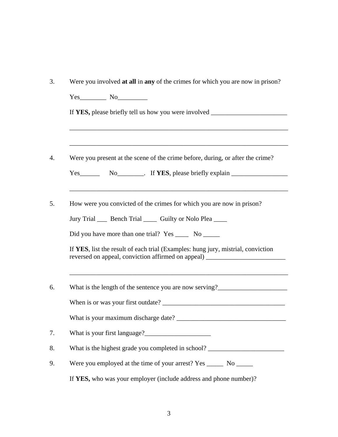| $Yes$ No $\qquad$                                                                                                                                                     |
|-----------------------------------------------------------------------------------------------------------------------------------------------------------------------|
| If YES, please briefly tell us how you were involved ___________________________                                                                                      |
|                                                                                                                                                                       |
| Were you present at the scene of the crime before, during, or after the crime?                                                                                        |
| Yes No No Fig. 1f YES, please briefly explain                                                                                                                         |
| ,我们也不能在这里的时候,我们也不能在这里的时候,我们也不能会在这里的时候,我们也不能会在这里的时候,我们也不能会在这里的时候,我们也不能会在这里的时候,我们也不                                                                                     |
| How were you convicted of the crimes for which you are now in prison?                                                                                                 |
| Jury Trial ____ Bench Trial _____ Guilty or Nolo Plea ____                                                                                                            |
| Did you have more than one trial? Yes _______ No _______                                                                                                              |
| If YES, list the result of each trial (Examples: hung jury, mistrial, conviction<br>reversed on appeal, conviction affirmed on appeal) _____________________________  |
| ,我们也不会有什么。""我们的人,我们也不会有什么?""我们的人,我们也不会有什么?""我们的人,我们也不会有什么?""我们的人,我们也不会有什么?""我们的人<br>What is the length of the sentence you are now serving?__________________________ |
|                                                                                                                                                                       |
| What is your maximum discharge date?                                                                                                                                  |
|                                                                                                                                                                       |
| What is the highest grade you completed in school? _____________________________                                                                                      |
|                                                                                                                                                                       |
| Were you employed at the time of your arrest? Yes _______ No ______                                                                                                   |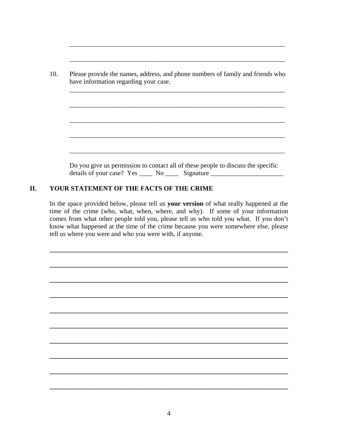\_\_\_\_\_\_\_\_\_\_\_\_\_\_\_\_\_\_\_\_\_\_\_\_\_\_\_\_\_\_\_\_\_\_\_\_\_\_\_\_\_\_\_\_\_\_\_\_\_\_\_\_\_\_\_\_\_\_\_\_\_\_\_\_\_

\_\_\_\_\_\_\_\_\_\_\_\_\_\_\_\_\_\_\_\_\_\_\_\_\_\_\_\_\_\_\_\_\_\_\_\_\_\_\_\_\_\_\_\_\_\_\_\_\_\_\_\_\_\_\_\_\_\_\_\_\_\_\_\_\_

#### **II. YOUR STATEMENT OF THE FACTS OF THE CRIME**

In the space provided below, please tell us **your version** of what really happened at the time of the crime (who, what, when, where, and why). If some of your information comes from what other people told you, please tell us who told you what. If you don't know what happened at the time of the crime because you were somewhere else, please tell us where you were and who you were with, if anyone.

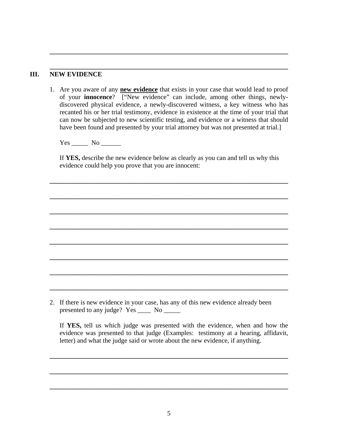#### **\_\_\_\_\_\_\_\_\_\_\_\_\_\_\_\_\_\_\_\_\_\_\_\_\_\_\_\_\_\_\_\_\_\_\_\_\_\_\_\_\_\_\_\_\_\_\_\_\_\_\_\_\_\_\_\_\_\_\_\_\_\_\_\_\_\_\_\_\_\_\_\_ III. NEW EVIDENCE**

1. Are you aware of any **new evidence** that exists in your case that would lead to proof of your **innocence**? ["New evidence" can include, among other things, newlydiscovered physical evidence, a newly-discovered witness, a key witness who has recanted his or her trial testimony, evidence in existence at the time of your trial that can now be subjected to new scientific testing, and evidence or a witness that should have been found and presented by your trial attorney but was not presented at trial.]

**\_\_\_\_\_\_\_\_\_\_\_\_\_\_\_\_\_\_\_\_\_\_\_\_\_\_\_\_\_\_\_\_\_\_\_\_\_\_\_\_\_\_\_\_\_\_\_\_\_\_\_\_\_\_\_\_\_\_\_\_\_\_\_\_\_\_\_\_\_\_\_\_**

Yes \_\_\_\_\_\_ No \_\_\_\_\_\_\_

If **YES,** describe the new evidence below as clearly as you can and tell us why this evidence could help you prove that you are innocent:

**\_\_\_\_\_\_\_\_\_\_\_\_\_\_\_\_\_\_\_\_\_\_\_\_\_\_\_\_\_\_\_\_\_\_\_\_\_\_\_\_\_\_\_\_\_\_\_\_\_\_\_\_\_\_\_\_\_\_\_\_\_\_\_\_\_\_\_\_\_\_\_\_**

**\_\_\_\_\_\_\_\_\_\_\_\_\_\_\_\_\_\_\_\_\_\_\_\_\_\_\_\_\_\_\_\_\_\_\_\_\_\_\_\_\_\_\_\_\_\_\_\_\_\_\_\_\_\_\_\_\_\_\_\_\_\_\_\_\_\_\_\_\_\_\_\_**

**\_\_\_\_\_\_\_\_\_\_\_\_\_\_\_\_\_\_\_\_\_\_\_\_\_\_\_\_\_\_\_\_\_\_\_\_\_\_\_\_\_\_\_\_\_\_\_\_\_\_\_\_\_\_\_\_\_\_\_\_\_\_\_\_\_\_\_\_\_\_\_\_**

**\_\_\_\_\_\_\_\_\_\_\_\_\_\_\_\_\_\_\_\_\_\_\_\_\_\_\_\_\_\_\_\_\_\_\_\_\_\_\_\_\_\_\_\_\_\_\_\_\_\_\_\_\_\_\_\_\_\_\_\_\_\_\_\_\_\_\_\_\_\_\_\_**

**\_\_\_\_\_\_\_\_\_\_\_\_\_\_\_\_\_\_\_\_\_\_\_\_\_\_\_\_\_\_\_\_\_\_\_\_\_\_\_\_\_\_\_\_\_\_\_\_\_\_\_\_\_\_\_\_\_\_\_\_\_\_\_\_\_\_\_\_\_\_\_\_**

**\_\_\_\_\_\_\_\_\_\_\_\_\_\_\_\_\_\_\_\_\_\_\_\_\_\_\_\_\_\_\_\_\_\_\_\_\_\_\_\_\_\_\_\_\_\_\_\_\_\_\_\_\_\_\_\_\_\_\_\_\_\_\_\_\_\_\_\_\_\_\_\_**

**\_\_\_\_\_\_\_\_\_\_\_\_\_\_\_\_\_\_\_\_\_\_\_\_\_\_\_\_\_\_\_\_\_\_\_\_\_\_\_\_\_\_\_\_\_\_\_\_\_\_\_\_\_\_\_\_\_\_\_\_\_\_\_\_\_\_\_\_\_\_\_\_**

**\_\_\_\_\_\_\_\_\_\_\_\_\_\_\_\_\_\_\_\_\_\_\_\_\_\_\_\_\_\_\_\_\_\_\_\_\_\_\_\_\_\_\_\_\_\_\_\_\_\_\_\_\_\_\_\_\_\_\_\_\_\_\_\_\_\_\_\_\_\_\_\_** 

2. If there is new evidence in your case, has any of this new evidence already been presented to any judge? Yes \_\_\_\_\_ No \_\_\_\_\_\_

If **YES,** tell us which judge was presented with the evidence, when and how the evidence was presented to that judge (Examples: testimony at a hearing, affidavit, letter) and what the judge said or wrote about the new evidence, if anything.

**\_\_\_\_\_\_\_\_\_\_\_\_\_\_\_\_\_\_\_\_\_\_\_\_\_\_\_\_\_\_\_\_\_\_\_\_\_\_\_\_\_\_\_\_\_\_\_\_\_\_\_\_\_\_\_\_\_\_\_\_\_\_\_\_\_\_\_\_\_\_\_\_**

**\_\_\_\_\_\_\_\_\_\_\_\_\_\_\_\_\_\_\_\_\_\_\_\_\_\_\_\_\_\_\_\_\_\_\_\_\_\_\_\_\_\_\_\_\_\_\_\_\_\_\_\_\_\_\_\_\_\_\_\_\_\_\_\_\_\_\_\_\_\_\_\_**

**\_\_\_\_\_\_\_\_\_\_\_\_\_\_\_\_\_\_\_\_\_\_\_\_\_\_\_\_\_\_\_\_\_\_\_\_\_\_\_\_\_\_\_\_\_\_\_\_\_\_\_\_\_\_\_\_\_\_\_\_\_\_\_\_\_\_\_\_\_\_\_\_**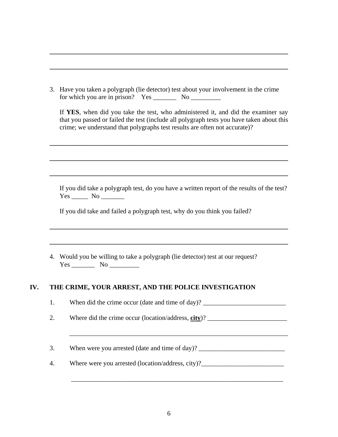|                                  | 3. Have you taken a polygraph (lie detector) test about your involvement in the crime |  |
|----------------------------------|---------------------------------------------------------------------------------------|--|
| for which you are in prison? Yes | -No                                                                                   |  |

**\_\_\_\_\_\_\_\_\_\_\_\_\_\_\_\_\_\_\_\_\_\_\_\_\_\_\_\_\_\_\_\_\_\_\_\_\_\_\_\_\_\_\_\_\_\_\_\_\_\_\_\_\_\_\_\_\_\_\_\_\_\_\_\_\_\_\_\_\_\_\_\_**

**\_\_\_\_\_\_\_\_\_\_\_\_\_\_\_\_\_\_\_\_\_\_\_\_\_\_\_\_\_\_\_\_\_\_\_\_\_\_\_\_\_\_\_\_\_\_\_\_\_\_\_\_\_\_\_\_\_\_\_\_\_\_\_\_\_\_\_\_\_\_\_\_**

If **YES**, when did you take the test, who administered it, and did the examiner say that you passed or failed the test (include all polygraph tests you have taken about this crime; we understand that polygraphs test results are often not accurate)?

**\_\_\_\_\_\_\_\_\_\_\_\_\_\_\_\_\_\_\_\_\_\_\_\_\_\_\_\_\_\_\_\_\_\_\_\_\_\_\_\_\_\_\_\_\_\_\_\_\_\_\_\_\_\_\_\_\_\_\_\_\_\_\_\_\_\_\_\_\_\_\_\_**

**\_\_\_\_\_\_\_\_\_\_\_\_\_\_\_\_\_\_\_\_\_\_\_\_\_\_\_\_\_\_\_\_\_\_\_\_\_\_\_\_\_\_\_\_\_\_\_\_\_\_\_\_\_\_\_\_\_\_\_\_\_\_\_\_\_\_\_\_\_\_\_\_**

**\_\_\_\_\_\_\_\_\_\_\_\_\_\_\_\_\_\_\_\_\_\_\_\_\_\_\_\_\_\_\_\_\_\_\_\_\_\_\_\_\_\_\_\_\_\_\_\_\_\_\_\_\_\_\_\_\_\_\_\_\_\_\_\_\_\_\_\_\_\_\_\_**

**\_\_\_\_\_\_\_\_\_\_\_\_\_\_\_\_\_\_\_\_\_\_\_\_\_\_\_\_\_\_\_\_\_\_\_\_\_\_\_\_\_\_\_\_\_\_\_\_\_\_\_\_\_\_\_\_\_\_\_\_\_\_\_\_\_\_\_\_\_\_\_\_**

**\_\_\_\_\_\_\_\_\_\_\_\_\_\_\_\_\_\_\_\_\_\_\_\_\_\_\_\_\_\_\_\_\_\_\_\_\_\_\_\_\_\_\_\_\_\_\_\_\_\_\_\_\_\_\_\_\_\_\_\_\_\_\_\_\_\_\_\_\_\_\_\_** 

If you did take a polygraph test, do you have a written report of the results of the test? Yes \_\_\_\_\_\_\_\_\_ No \_\_\_\_\_\_\_\_\_\_\_

If you did take and failed a polygraph test, why do you think you failed?

4. Would you be willing to take a polygraph (lie detector) test at our request?  $Yes \_\_$  No  $\_\_$ 

#### **IV. THE CRIME, YOUR ARREST, AND THE POLICE INVESTIGATION**

1. When did the crime occur (date and time of day)?

2. Where did the crime occur (location/address, **city**)?

3. When were you arrested (date and time of day)? \_\_\_\_\_\_\_\_\_\_\_\_\_\_\_\_\_\_\_\_\_\_\_\_\_\_\_\_\_\_

\_\_\_\_\_\_\_\_\_\_\_\_\_\_\_\_\_\_\_\_\_\_\_\_\_\_\_\_\_\_\_\_\_\_\_\_\_\_\_\_\_\_\_\_\_\_\_\_\_\_\_\_\_\_\_\_\_\_\_\_\_\_\_\_\_\_

\_\_\_\_\_\_\_\_\_\_\_\_\_\_\_\_\_\_\_\_\_\_\_\_\_\_\_\_\_\_\_\_\_\_\_\_\_\_\_\_\_\_\_\_\_\_\_\_\_\_\_\_\_\_\_\_\_\_\_\_\_\_\_\_

4. Where were you arrested (location/address, city)?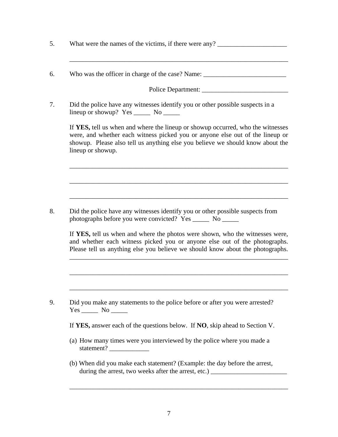|                   | Did the police have any witnesses identify you or other possible suspects in a<br>lineup or showup? $Yes \_\_$ No $\_\_$                                                                                                                           |
|-------------------|----------------------------------------------------------------------------------------------------------------------------------------------------------------------------------------------------------------------------------------------------|
| lineup or showup. | If YES, tell us when and where the lineup or showup occurred, who the witnesses<br>were, and whether each witness picked you or anyone else out of the lineup or<br>showup. Please also tell us anything else you believe we should know about the |
|                   |                                                                                                                                                                                                                                                    |
|                   |                                                                                                                                                                                                                                                    |
|                   | Did the police have any witnesses identify you or other possible suspects from<br>photographs before you were convicted? Yes _______ No ______                                                                                                     |
|                   | If YES, tell us when and where the photos were shown, who the witnesses were,<br>and whether each witness picked you or anyone else out of the photographs.<br>Please tell us anything else you believe we should know about the photographs.      |
|                   |                                                                                                                                                                                                                                                    |
|                   |                                                                                                                                                                                                                                                    |

5. What were the names of the victims, if there were any? \_\_\_\_\_\_\_\_\_\_\_\_\_\_\_\_\_\_\_\_\_\_\_

- (a) How many times were you interviewed by the police where you made a statement? \_\_\_\_\_\_\_\_\_\_\_\_
- (b) When did you make each statement? (Example: the day before the arrest, during the arrest, two weeks after the arrest, etc.) \_\_\_\_\_\_\_\_\_\_\_\_\_\_\_\_\_\_\_\_\_\_\_\_\_\_\_

\_\_\_\_\_\_\_\_\_\_\_\_\_\_\_\_\_\_\_\_\_\_\_\_\_\_\_\_\_\_\_\_\_\_\_\_\_\_\_\_\_\_\_\_\_\_\_\_\_\_\_\_\_\_\_\_\_\_\_\_\_\_\_\_\_\_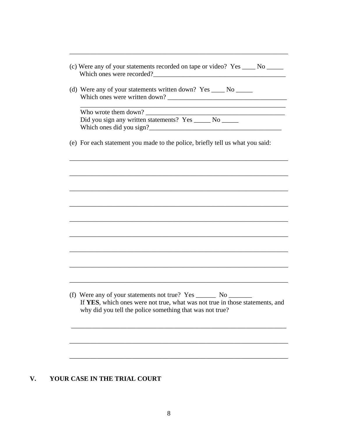| Which ones were recorded?                                                                                                                                                                                    |
|--------------------------------------------------------------------------------------------------------------------------------------------------------------------------------------------------------------|
| (d) Were any of your statements written down? Yes _____ No ______                                                                                                                                            |
| <u> 1989 - Johann Barn, amerikansk politiker (d. 1989)</u><br>Who wrote them down?                                                                                                                           |
| Did you sign any written statements? Yes _____ No _____<br>Which ones did you sign?                                                                                                                          |
| (e) For each statement you made to the police, briefly tell us what you said:                                                                                                                                |
|                                                                                                                                                                                                              |
|                                                                                                                                                                                                              |
|                                                                                                                                                                                                              |
|                                                                                                                                                                                                              |
|                                                                                                                                                                                                              |
|                                                                                                                                                                                                              |
|                                                                                                                                                                                                              |
|                                                                                                                                                                                                              |
| (f) Were any of your statements not true? Yes ________ No ______<br>If YES, which ones were not true, what was not true in those statements, and<br>why did you tell the police something that was not true? |
|                                                                                                                                                                                                              |
|                                                                                                                                                                                                              |
|                                                                                                                                                                                                              |

# V. YOUR CASE IN THE TRIAL COURT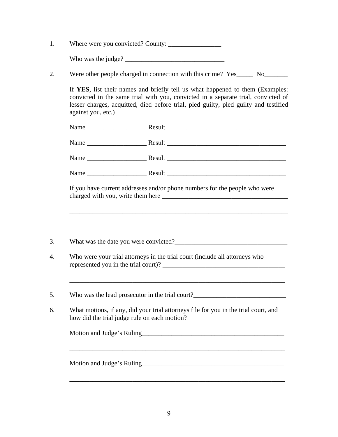1. Where were you convicted? County: \_\_\_\_\_\_\_\_\_\_\_\_\_\_\_\_

Who was the judge?  $\frac{2}{\sqrt{2}}$ 

2. Were other people charged in connection with this crime? Yes\_\_\_\_\_ No\_\_\_\_\_\_\_\_\_

If **YES**, list their names and briefly tell us what happened to them (Examples: convicted in the same trial with you, convicted in a separate trial, convicted of lesser charges, acquitted, died before trial, pled guilty, pled guilty and testified against you, etc.)

| If you have current addresses and/or phone numbers for the people who were                                                                                               |
|--------------------------------------------------------------------------------------------------------------------------------------------------------------------------|
|                                                                                                                                                                          |
|                                                                                                                                                                          |
|                                                                                                                                                                          |
|                                                                                                                                                                          |
| Who were your trial attorneys in the trial court (include all attorneys who                                                                                              |
| Who was the lead prosecutor in the trial court?__________________________________<br>What motions, if any, did your trial attorneys file for you in the trial court, and |
|                                                                                                                                                                          |
|                                                                                                                                                                          |
|                                                                                                                                                                          |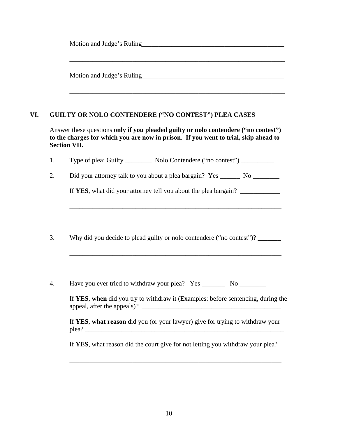|     |                | <u> 1989 - Johann Stoff, amerikansk politiker (* 1908)</u>                                                                                                                                        |
|-----|----------------|---------------------------------------------------------------------------------------------------------------------------------------------------------------------------------------------------|
| VI. |                | <b>GUILTY OR NOLO CONTENDERE ("NO CONTEST") PLEA CASES</b>                                                                                                                                        |
|     |                | Answer these questions only if you pleaded guilty or nolo contendere ("no contest")<br>to the charges for which you are now in prison. If you went to trial, skip ahead to<br><b>Section VII.</b> |
|     | 1.             | Type of plea: Guilty ____________ Nolo Contendere ("no contest") ___________                                                                                                                      |
|     | 2.             |                                                                                                                                                                                                   |
|     |                | If YES, what did your attorney tell you about the plea bargain? _______________                                                                                                                   |
|     | 3.             | Why did you decide to plead guilty or nolo contendere ("no contest")? _______                                                                                                                     |
|     |                |                                                                                                                                                                                                   |
|     | $\overline{4}$ | Have you ever tried to withdraw your plea? Yes __________ No                                                                                                                                      |
|     |                | If YES, when did you try to withdraw it (Examples: before sentencing, during the                                                                                                                  |
|     |                | If YES, what reason did you (or your lawyer) give for trying to withdraw your                                                                                                                     |
|     |                | If YES, what reason did the court give for not letting you withdraw your plea?                                                                                                                    |
|     |                |                                                                                                                                                                                                   |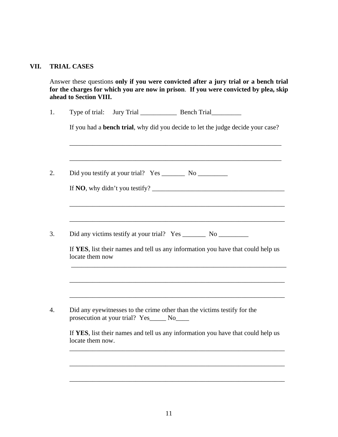#### **VII. TRIAL CASES**

Answer these questions **only if you were convicted after a jury trial or a bench trial for the charges for which you are now in prison**. **If you were convicted by plea, skip ahead to Section VIII.** 

| locate them now |                                            | If YES, list their names and tell us any information you have that could help us<br>and the control of the control of the control of the control of the control of the control of the control of the |
|-----------------|--------------------------------------------|------------------------------------------------------------------------------------------------------------------------------------------------------------------------------------------------------|
|                 |                                            |                                                                                                                                                                                                      |
|                 | prosecution at your trial? Yes_____ No____ | Did any eyewitnesses to the crime other than the victims testify for the                                                                                                                             |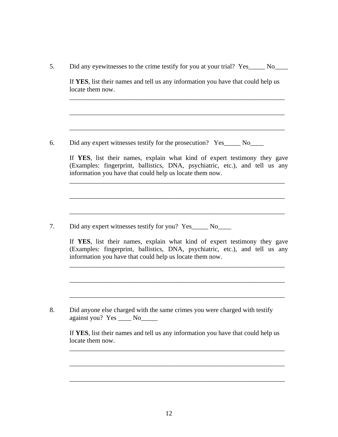| locate them now. |                                                                                                                                                                                                                                                                                      |
|------------------|--------------------------------------------------------------------------------------------------------------------------------------------------------------------------------------------------------------------------------------------------------------------------------------|
|                  | Did any expert witnesses testify for the prosecution? Yes______ No_____                                                                                                                                                                                                              |
|                  | If YES, list their names, explain what kind of expert testimony they gave<br>(Examples: fingerprint, ballistics, DNA, psychiatric, etc.), and tell us any<br>information you have that could help us locate them now.                                                                |
|                  |                                                                                                                                                                                                                                                                                      |
|                  | Did any expert witnesses testify for you? Yes______ No_____<br>If YES, list their names, explain what kind of expert testimony they gave<br>(Examples: fingerprint, ballistics, DNA, psychiatric, etc.), and tell us any<br>information you have that could help us locate them now. |
|                  |                                                                                                                                                                                                                                                                                      |
|                  | Did anyone else charged with the same crimes you were charged with testify<br>against you? Yes ______ No_______                                                                                                                                                                      |
| locate them now. | If YES, list their names and tell us any information you have that could help us                                                                                                                                                                                                     |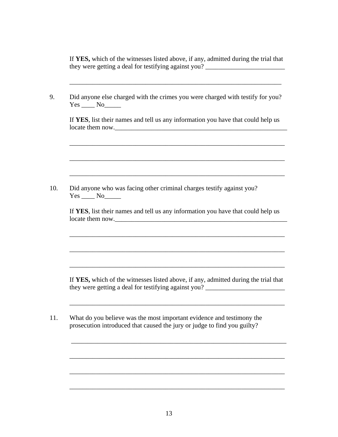If **YES,** which of the witnesses listed above, if any, admitted during the trial that they were getting a deal for testifying against you? \_\_\_\_\_\_\_\_\_\_\_\_\_\_\_\_\_\_\_\_\_\_\_\_\_\_\_\_

| Did anyone else charged with the crimes you were charged with testify for you?<br>$Yes \_ No \_$                                            |
|---------------------------------------------------------------------------------------------------------------------------------------------|
| If YES, list their names and tell us any information you have that could help us<br>locate them now.                                        |
|                                                                                                                                             |
| Did anyone who was facing other criminal charges testify against you?<br>$Yes$ No $\_\_$                                                    |
| If YES, list their names and tell us any information you have that could help us<br>locate them now.                                        |
|                                                                                                                                             |
| If YES, which of the witnesses listed above, if any, admitted during the trial that<br>they were getting a deal for testifying against you? |
|                                                                                                                                             |

\_\_\_\_\_\_\_\_\_\_\_\_\_\_\_\_\_\_\_\_\_\_\_\_\_\_\_\_\_\_\_\_\_\_\_\_\_\_\_\_\_\_\_\_\_\_\_\_\_\_\_\_\_\_\_\_\_\_\_\_\_\_\_\_\_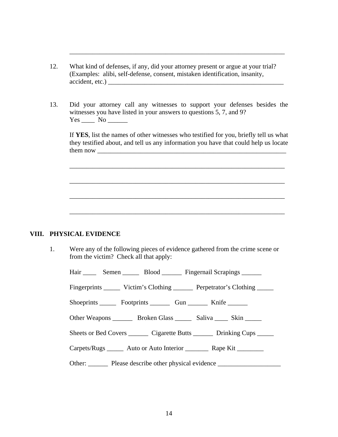12. What kind of defenses, if any, did your attorney present or argue at your trial? (Examples: alibi, self-defense, consent, mistaken identification, insanity, accident, etc.)

\_\_\_\_\_\_\_\_\_\_\_\_\_\_\_\_\_\_\_\_\_\_\_\_\_\_\_\_\_\_\_\_\_\_\_\_\_\_\_\_\_\_\_\_\_\_\_\_\_\_\_\_\_\_\_\_\_\_\_\_\_\_\_\_\_

13. Did your attorney call any witnesses to support your defenses besides the witnesses you have listed in your answers to questions 5, 7, and 9? Yes \_\_\_\_\_\_\_\_ No \_\_\_\_\_\_\_\_\_

If **YES**, list the names of other witnesses who testified for you, briefly tell us what they testified about, and tell us any information you have that could help us locate them now \_\_\_\_\_\_\_\_\_\_\_\_\_\_\_\_\_\_\_\_\_\_\_\_\_\_\_\_\_\_\_\_\_\_\_\_\_\_\_\_\_\_\_\_\_\_\_\_\_\_\_\_\_\_\_\_\_

\_\_\_\_\_\_\_\_\_\_\_\_\_\_\_\_\_\_\_\_\_\_\_\_\_\_\_\_\_\_\_\_\_\_\_\_\_\_\_\_\_\_\_\_\_\_\_\_\_\_\_\_\_\_\_\_\_\_\_\_\_\_\_\_\_

 $\overline{\phantom{a}}$  , and the set of the set of the set of the set of the set of the set of the set of the set of the set of the set of the set of the set of the set of the set of the set of the set of the set of the set of the s

\_\_\_\_\_\_\_\_\_\_\_\_\_\_\_\_\_\_\_\_\_\_\_\_\_\_\_\_\_\_\_\_\_\_\_\_\_\_\_\_\_\_\_\_\_\_\_\_\_\_\_\_\_\_\_\_\_\_\_\_\_\_\_\_\_

\_\_\_\_\_\_\_\_\_\_\_\_\_\_\_\_\_\_\_\_\_\_\_\_\_\_\_\_\_\_\_\_\_\_\_\_\_\_\_\_\_\_\_\_\_\_\_\_\_\_\_\_\_\_\_\_\_\_\_\_\_\_\_\_\_

#### **VIII. PHYSICAL EVIDENCE**

1. Were any of the following pieces of evidence gathered from the crime scene or from the victim? Check all that apply:

Hair \_\_\_\_\_\_ Semen \_\_\_\_\_\_ Blood \_\_\_\_\_\_ Fingernail Scrapings \_\_\_\_\_\_

Fingerprints \_\_\_\_\_\_ Victim's Clothing \_\_\_\_\_\_ Perpetrator's Clothing \_\_\_\_\_

Shoeprints \_\_\_\_\_\_\_ Footprints \_\_\_\_\_\_\_\_ Gun \_\_\_\_\_\_\_ Knife \_\_\_\_\_\_\_

Other Weapons \_\_\_\_\_\_\_\_ Broken Glass \_\_\_\_\_\_ Saliva \_\_\_\_\_ Skin \_\_\_\_\_\_

Sheets or Bed Covers \_\_\_\_\_\_\_ Cigarette Butts \_\_\_\_\_\_\_ Drinking Cups \_\_\_\_\_

Carpets/Rugs \_\_\_\_\_\_\_ Auto or Auto Interior \_\_\_\_\_\_\_\_\_ Rape Kit \_\_\_\_\_\_\_\_

Other: Please describe other physical evidence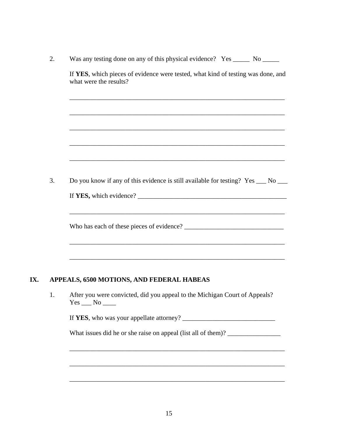| 2. | Was any testing done on any of this physical evidence? Yes _______ No ______                               |
|----|------------------------------------------------------------------------------------------------------------|
|    | If YES, which pieces of evidence were tested, what kind of testing was done, and<br>what were the results? |
|    | ,我们也不会有什么。""我们的人,我们也不会有什么?""我们的人,我们也不会有什么?""我们的人,我们也不会有什么?""我们的人,我们也不会有什么?""我们的人                           |
|    |                                                                                                            |
|    |                                                                                                            |
| 3. | Do you know if any of this evidence is still available for testing? Yes __ No __                           |
|    |                                                                                                            |
|    |                                                                                                            |
|    | ,我们也不能在这里的时候,我们也不能在这里的时候,我们也不能会在这里的时候,我们也不能会在这里的时候,我们也不能会在这里的时候,我们也不能会在这里的时候,我们也                           |
|    | APPEALS, 6500 MOTIONS, AND FEDERAL HABEAS                                                                  |
| 1. | After you were convicted, did you appeal to the Michigan Court of Appeals?<br>$Yes \_\_No \_\_$            |
|    |                                                                                                            |
|    |                                                                                                            |
|    |                                                                                                            |
|    | What issues did he or she raise on appeal (list all of them)? ___________________                          |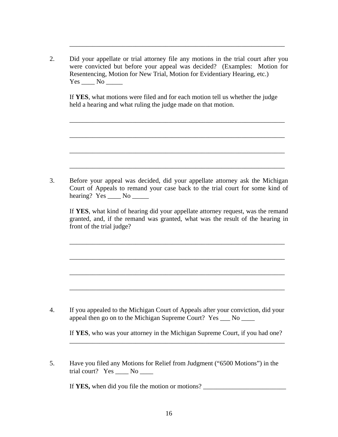2. Did your appellate or trial attorney file any motions in the trial court after you were convicted but before your appeal was decided? (Examples: Motion for Resentencing, Motion for New Trial, Motion for Evidentiary Hearing, etc.) Yes \_\_\_\_\_\_ No \_\_\_\_\_\_

\_\_\_\_\_\_\_\_\_\_\_\_\_\_\_\_\_\_\_\_\_\_\_\_\_\_\_\_\_\_\_\_\_\_\_\_\_\_\_\_\_\_\_\_\_\_\_\_\_\_\_\_\_\_\_\_\_\_\_\_\_\_\_\_\_

If **YES**, what motions were filed and for each motion tell us whether the judge held a hearing and what ruling the judge made on that motion.

\_\_\_\_\_\_\_\_\_\_\_\_\_\_\_\_\_\_\_\_\_\_\_\_\_\_\_\_\_\_\_\_\_\_\_\_\_\_\_\_\_\_\_\_\_\_\_\_\_\_\_\_\_\_\_\_\_\_\_\_\_\_\_\_\_

\_\_\_\_\_\_\_\_\_\_\_\_\_\_\_\_\_\_\_\_\_\_\_\_\_\_\_\_\_\_\_\_\_\_\_\_\_\_\_\_\_\_\_\_\_\_\_\_\_\_\_\_\_\_\_\_\_\_\_\_\_\_\_\_\_

3. Before your appeal was decided, did your appellate attorney ask the Michigan Court of Appeals to remand your case back to the trial court for some kind of hearing? Yes \_\_\_\_\_ No \_\_\_\_\_\_

 $\overline{\phantom{a}}$  ,  $\overline{\phantom{a}}$  ,  $\overline{\phantom{a}}$  ,  $\overline{\phantom{a}}$  ,  $\overline{\phantom{a}}$  ,  $\overline{\phantom{a}}$  ,  $\overline{\phantom{a}}$  ,  $\overline{\phantom{a}}$  ,  $\overline{\phantom{a}}$  ,  $\overline{\phantom{a}}$  ,  $\overline{\phantom{a}}$  ,  $\overline{\phantom{a}}$  ,  $\overline{\phantom{a}}$  ,  $\overline{\phantom{a}}$  ,  $\overline{\phantom{a}}$  ,  $\overline{\phantom{a}}$ 

If **YES**, what kind of hearing did your appellate attorney request, was the remand granted, and, if the remand was granted, what was the result of the hearing in front of the trial judge?

\_\_\_\_\_\_\_\_\_\_\_\_\_\_\_\_\_\_\_\_\_\_\_\_\_\_\_\_\_\_\_\_\_\_\_\_\_\_\_\_\_\_\_\_\_\_\_\_\_\_\_\_\_\_\_\_\_\_\_\_\_\_\_\_\_

\_\_\_\_\_\_\_\_\_\_\_\_\_\_\_\_\_\_\_\_\_\_\_\_\_\_\_\_\_\_\_\_\_\_\_\_\_\_\_\_\_\_\_\_\_\_\_\_\_\_\_\_\_\_\_\_\_\_\_\_\_\_\_\_\_

\_\_\_\_\_\_\_\_\_\_\_\_\_\_\_\_\_\_\_\_\_\_\_\_\_\_\_\_\_\_\_\_\_\_\_\_\_\_\_\_\_\_\_\_\_\_\_\_\_\_\_\_\_\_\_\_\_\_\_\_\_\_\_\_\_

4. If you appealed to the Michigan Court of Appeals after your conviction, did your appeal then go on to the Michigan Supreme Court? Yes \_\_\_ No \_\_\_\_

\_\_\_\_\_\_\_\_\_\_\_\_\_\_\_\_\_\_\_\_\_\_\_\_\_\_\_\_\_\_\_\_\_\_\_\_\_\_\_\_\_\_\_\_\_\_\_\_\_\_\_\_\_\_\_\_\_\_\_\_\_\_\_\_\_

If **YES**, who was your attorney in the Michigan Supreme Court, if you had one? \_\_\_\_\_\_\_\_\_\_\_\_\_\_\_\_\_\_\_\_\_\_\_\_\_\_\_\_\_\_\_\_\_\_\_\_\_\_\_\_\_\_\_\_\_\_\_\_\_\_\_\_\_\_\_\_\_\_\_\_\_\_\_\_\_

5. Have you filed any Motions for Relief from Judgment ("6500 Motions") in the trial court? Yes No

If **YES,** when did you file the motion or motions? \_\_\_\_\_\_\_\_\_\_\_\_\_\_\_\_\_\_\_\_\_\_\_\_\_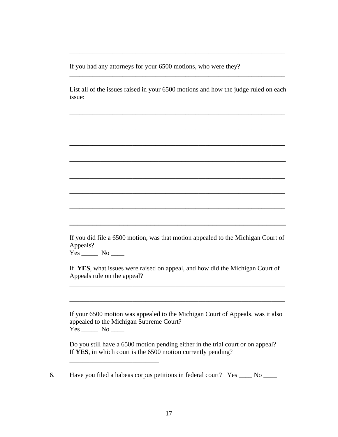If you had any attorneys for your 6500 motions, who were they?

 List all of the issues raised in your 6500 motions and how the judge ruled on each issue:

\_\_\_\_\_\_\_\_\_\_\_\_\_\_\_\_\_\_\_\_\_\_\_\_\_\_\_\_\_\_\_\_\_\_\_\_\_\_\_\_\_\_\_\_\_\_\_\_\_\_\_\_\_\_\_\_\_\_\_\_\_\_\_\_\_

\_\_\_\_\_\_\_\_\_\_\_\_\_\_\_\_\_\_\_\_\_\_\_\_\_\_\_\_\_\_\_\_\_\_\_\_\_\_\_\_\_\_\_\_\_\_\_\_\_\_\_\_\_\_\_\_\_\_\_\_\_\_\_\_\_

\_\_\_\_\_\_\_\_\_\_\_\_\_\_\_\_\_\_\_\_\_\_\_\_\_\_\_\_\_\_\_\_\_\_\_\_\_\_\_\_\_\_\_\_\_\_\_\_\_\_\_\_\_\_\_\_

\_\_\_\_\_\_\_\_\_\_\_\_\_\_\_\_\_\_\_\_\_\_\_\_\_\_\_\_\_\_\_\_\_\_\_\_\_\_\_\_\_\_\_\_\_\_\_\_\_\_\_\_\_\_\_\_\_\_\_\_\_\_\_\_\_

\_\_\_\_\_\_\_\_\_\_\_\_\_\_\_\_\_\_\_\_\_\_\_\_\_\_\_\_\_\_\_\_\_\_\_\_\_\_\_\_\_\_\_\_\_\_\_\_\_\_\_\_\_\_\_\_\_\_\_\_\_\_\_\_\_

\_\_\_\_\_\_\_\_\_\_\_\_\_\_\_\_\_\_\_\_\_\_\_\_\_\_\_\_\_\_\_\_\_\_\_\_\_\_\_\_\_\_\_\_\_\_\_\_\_\_\_\_\_\_\_\_\_\_\_\_\_\_\_\_\_

\_\_\_\_\_\_\_\_\_\_\_\_\_\_\_\_\_\_\_\_\_\_\_\_\_\_\_\_\_\_\_\_\_\_\_\_\_\_\_\_\_\_\_\_\_\_\_\_\_\_\_\_\_\_\_\_\_\_\_\_\_\_\_\_\_

\_\_\_\_\_\_\_\_\_\_\_\_\_\_\_\_\_\_\_\_\_\_\_\_\_\_\_\_\_\_\_\_\_\_\_\_\_\_\_\_\_\_\_\_\_\_\_\_\_\_\_\_\_\_\_\_\_\_\_\_\_\_\_\_\_

If you did file a 6500 motion, was that motion appealed to the Michigan Court of Appeals?

Yes \_\_\_\_\_\_\_ No \_\_\_\_\_

\_\_\_\_\_\_\_\_\_\_\_\_\_\_\_\_\_\_\_\_\_\_\_\_\_\_\_

If **YES**, what issues were raised on appeal, and how did the Michigan Court of Appeals rule on the appeal?

\_\_\_\_\_\_\_\_\_\_\_\_\_\_\_\_\_\_\_\_\_\_\_\_\_\_\_\_\_\_\_\_\_\_\_\_\_\_\_\_\_\_\_\_\_\_\_\_\_\_\_\_\_\_\_\_\_\_\_\_\_\_\_\_\_

\_\_\_\_\_\_\_\_\_\_\_\_\_\_\_\_\_\_\_\_\_\_\_\_\_\_\_\_\_\_\_\_\_\_\_\_\_\_\_\_\_\_\_\_\_\_\_\_\_\_\_\_\_\_\_\_\_\_\_\_\_\_\_\_\_

If your 6500 motion was appealed to the Michigan Court of Appeals, was it also appealed to the Michigan Supreme Court? Yes \_\_\_\_\_ No \_\_\_\_

Do you still have a 6500 motion pending either in the trial court or on appeal? If **YES**, in which court is the 6500 motion currently pending?

6. Have you filed a habeas corpus petitions in federal court? Yes \_\_\_\_ No \_\_\_\_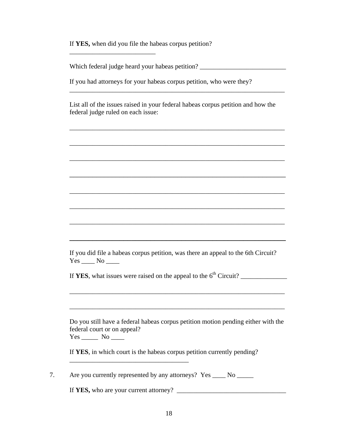If **YES,** when did you file the habeas corpus petition?

\_\_\_\_\_\_\_\_\_\_\_\_\_\_\_\_\_\_\_\_\_\_\_\_\_\_

Which federal judge heard your habeas petition? \_\_\_\_\_\_\_\_\_\_\_\_\_\_\_\_\_\_\_\_\_\_\_\_\_\_\_\_\_\_\_\_

 If you had attorneys for your habeas corpus petition, who were they?  $\frac{1}{2}$  ,  $\frac{1}{2}$  ,  $\frac{1}{2}$  ,  $\frac{1}{2}$  ,  $\frac{1}{2}$  ,  $\frac{1}{2}$  ,  $\frac{1}{2}$  ,  $\frac{1}{2}$  ,  $\frac{1}{2}$  ,  $\frac{1}{2}$  ,  $\frac{1}{2}$  ,  $\frac{1}{2}$  ,  $\frac{1}{2}$  ,  $\frac{1}{2}$  ,  $\frac{1}{2}$  ,  $\frac{1}{2}$  ,  $\frac{1}{2}$  ,  $\frac{1}{2}$  ,  $\frac{1$ 

 List all of the issues raised in your federal habeas corpus petition and how the federal judge ruled on each issue:

\_\_\_\_\_\_\_\_\_\_\_\_\_\_\_\_\_\_\_\_\_\_\_\_\_\_\_\_\_\_\_\_\_\_\_\_\_\_\_\_\_\_\_\_\_\_\_\_\_\_\_\_\_\_\_\_\_\_\_\_\_\_\_\_\_

\_\_\_\_\_\_\_\_\_\_\_\_\_\_\_\_\_\_\_\_\_\_\_\_\_\_\_\_\_\_\_\_\_\_\_\_\_\_\_\_\_\_\_\_\_\_\_\_\_\_\_\_\_\_\_\_\_\_\_\_\_\_\_\_\_

\_\_\_\_\_\_\_\_\_\_\_\_\_\_\_\_\_\_\_\_\_\_\_\_\_\_\_\_\_\_\_\_\_\_\_\_\_\_\_\_\_\_\_\_\_\_\_\_\_\_\_\_\_\_\_\_

\_\_\_\_\_\_\_\_\_\_\_\_\_\_\_\_\_\_\_\_\_\_\_\_\_\_\_\_\_\_\_\_\_\_\_\_\_\_\_\_\_\_\_\_\_\_\_\_\_\_\_\_\_\_\_\_\_\_\_\_\_\_\_\_\_

\_\_\_\_\_\_\_\_\_\_\_\_\_\_\_\_\_\_\_\_\_\_\_\_\_\_\_\_\_\_\_\_\_\_\_\_\_\_\_\_\_\_\_\_\_\_\_\_\_\_\_\_\_\_\_\_\_\_\_\_\_\_\_\_\_

If you did file a habeas corpus petition, was there an appeal to the 6th Circuit?  $Yes \_\_ No \_\_$ 

**\_\_\_\_\_\_\_\_\_\_\_\_\_\_\_\_\_\_\_\_\_\_\_\_\_\_\_\_\_\_\_\_\_\_\_\_\_\_\_\_\_\_\_\_\_\_\_\_\_\_\_\_\_\_\_\_**

If **YES**, what issues were raised on the appeal to the 6th Circuit? \_\_\_\_\_\_\_\_\_\_\_\_\_\_

\_\_\_\_\_\_\_\_\_\_\_\_\_\_\_\_\_\_\_\_\_\_\_\_\_\_\_\_\_\_\_\_\_\_\_\_\_\_\_\_\_\_\_\_\_\_\_\_\_\_\_\_\_\_\_\_\_\_\_\_\_\_\_\_\_

Do you still have a federal habeas corpus petition motion pending either with the federal court or on appeal? Yes \_\_\_\_\_ No \_\_\_\_

\_\_\_\_\_\_\_\_\_\_\_\_\_\_\_\_\_\_\_\_\_\_\_\_\_\_\_\_\_\_\_\_\_\_\_\_\_\_\_\_\_\_\_\_\_\_\_\_\_\_\_\_\_\_\_\_\_\_\_\_\_\_\_\_\_

\_\_\_\_\_\_\_\_\_\_\_\_\_\_\_\_\_\_\_\_\_\_\_\_\_\_\_\_\_\_\_\_\_\_\_\_\_\_\_\_\_\_\_\_\_\_\_\_\_\_\_\_\_\_\_\_\_\_\_\_\_\_\_\_\_

If **YES**, in which court is the habeas corpus petition currently pending?

7. Are you currently represented by any attorneys? Yes \_\_\_\_\_ No \_\_\_\_\_\_

\_\_\_\_\_\_\_\_\_\_\_\_\_\_\_\_\_\_\_\_\_\_\_\_\_\_\_\_\_\_\_\_\_\_\_\_

If **YES,** who are your current attorney? \_\_\_\_\_\_\_\_\_\_\_\_\_\_\_\_\_\_\_\_\_\_\_\_\_\_\_\_\_\_\_\_\_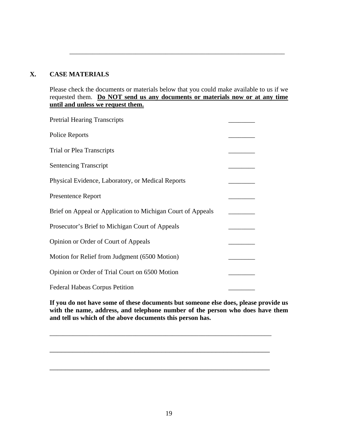### **X. CASE MATERIALS**

Please check the documents or materials below that you could make available to us if we requested them. **Do NOT send us any documents or materials now or at any time until and unless we request them.**

\_\_\_\_\_\_\_\_\_\_\_\_\_\_\_\_\_\_\_\_\_\_\_\_\_\_\_\_\_\_\_\_\_\_\_\_\_\_\_\_\_\_\_\_\_\_\_\_\_\_\_\_\_\_\_\_\_\_\_\_\_\_\_\_\_

| <b>Pretrial Hearing Transcripts</b>                         |  |
|-------------------------------------------------------------|--|
| Police Reports                                              |  |
| <b>Trial or Plea Transcripts</b>                            |  |
| <b>Sentencing Transcript</b>                                |  |
| Physical Evidence, Laboratory, or Medical Reports           |  |
| <b>Presentence Report</b>                                   |  |
| Brief on Appeal or Application to Michigan Court of Appeals |  |
| Prosecutor's Brief to Michigan Court of Appeals             |  |
| Opinion or Order of Court of Appeals                        |  |
| Motion for Relief from Judgment (6500 Motion)               |  |
| Opinion or Order of Trial Court on 6500 Motion              |  |
| <b>Federal Habeas Corpus Petition</b>                       |  |

**If you do not have some of these documents but someone else does, please provide us with the name, address, and telephone number of the person who does have them and tell us which of the above documents this person has.** 

\_\_\_\_\_\_\_\_\_\_\_\_\_\_\_\_\_\_\_\_\_\_\_\_\_\_\_\_\_\_\_\_\_\_\_\_\_\_\_\_\_\_\_\_\_\_\_\_\_\_\_\_\_\_\_\_\_\_\_\_\_\_\_\_\_\_\_

\_\_\_\_\_\_\_\_\_\_\_\_\_\_\_\_\_\_\_\_\_\_\_\_\_\_\_\_\_\_\_\_\_\_\_\_\_\_\_\_\_\_\_\_\_\_\_\_\_\_\_\_\_\_\_\_\_

\_\_\_\_\_\_\_\_\_\_\_\_\_\_\_\_\_\_\_\_\_\_\_\_\_\_\_\_\_\_\_\_\_\_\_\_\_\_\_\_\_\_\_\_\_\_\_\_\_\_\_\_\_\_\_\_\_